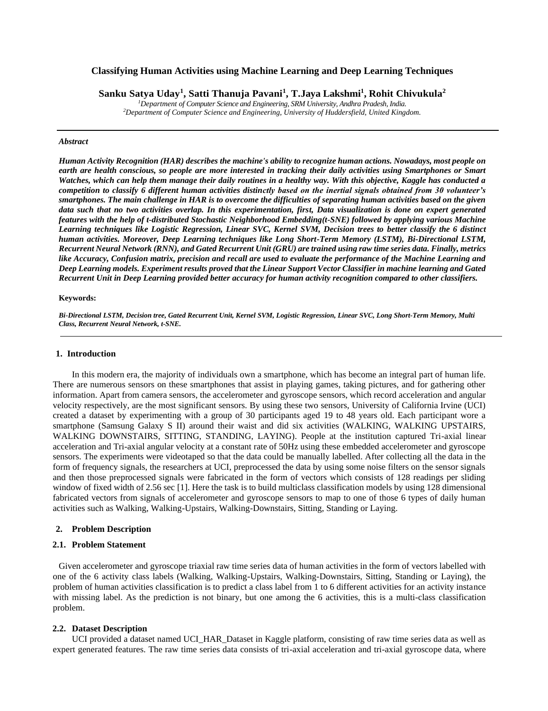# **Classifying Human Activities using Machine Learning and Deep Learning Techniques**

**Sanku Satya Uday<sup>1</sup> , Satti Thanuja Pavani<sup>1</sup> , T.Jaya Lakshmi<sup>1</sup> , Rohit Chivukula<sup>2</sup>**

*<sup>1</sup>Department of Computer Science and Engineering, SRM University, Andhra Pradesh, India. <sup>2</sup>Department of Computer Science and Engineering, University of Huddersfield, United Kingdom.*

#### *Abstract*

*Human Activity Recognition (HAR) describes the machine's ability to recognize human actions. Nowadays, most people on*  earth are health conscious, so people are more interested in tracking their daily activities using Smartphones or Smart *Watches, which can help them manage their daily routines in a healthy way. With this objective, Kaggle has conducted a competition to classify 6 different human activities distinctly based on the inertial signals obtained from 30 volunteer's smartphones. The main challenge in HAR is to overcome the difficulties of separating human activities based on the given data such that no two activities overlap. In this experimentation, first, Data visualization is done on expert generated features with the help of t-distributed Stochastic Neighborhood Embedding(t-SNE) followed by applying various Machine Learning techniques like Logistic Regression, Linear SVC, Kernel SVM, Decision trees to better classify the 6 distinct human activities. Moreover, Deep Learning techniques like Long Short-Term Memory (LSTM), Bi-Directional LSTM, Recurrent Neural Network (RNN), and Gated Recurrent Unit (GRU) are trained using raw time series data. Finally, metrics like Accuracy, Confusion matrix, precision and recall are used to evaluate the performance of the Machine Learning and Deep Learning models. Experiment results proved that the Linear Support Vector Classifier in machine learning and Gated Recurrent Unit in Deep Learning provided better accuracy for human activity recognition compared to other classifiers.*

#### **Keywords:**

*Bi-Directional LSTM, Decision tree, Gated Recurrent Unit, Kernel SVM, Logistic Regression, Linear SVC, Long Short-Term Memory, Multi Class, Recurrent Neural Network, t-SNE.*

### **1. Introduction**

In this modern era, the majority of individuals own a smartphone, which has become an integral part of human life. There are numerous sensors on these smartphones that assist in playing games, taking pictures, and for gathering other information. Apart from camera sensors, the accelerometer and gyroscope sensors, which record acceleration and angular velocity respectively, are the most significant sensors. By using these two sensors, University of California Irvine (UCI) created a dataset by experimenting with a group of 30 participants aged 19 to 48 years old. Each participant wore a smartphone (Samsung Galaxy S II) around their waist and did six activities (WALKING, WALKING UPSTAIRS, WALKING DOWNSTAIRS, SITTING, STANDING, LAYING). People at the institution captured Tri-axial linear acceleration and Tri-axial angular velocity at a constant rate of 50Hz using these embedded accelerometer and gyroscope sensors. The experiments were videotaped so that the data could be manually labelled. After collecting all the data in the form of frequency signals, the researchers at UCI, preprocessed the data by using some noise filters on the sensor signals and then those preprocessed signals were fabricated in the form of vectors which consists of 128 readings per sliding window of fixed width of 2.56 sec [1]. Here the task is to build multiclass classification models by using 128 dimensional fabricated vectors from signals of accelerometer and gyroscope sensors to map to one of those 6 types of daily human activities such as Walking, Walking-Upstairs, Walking-Downstairs, Sitting, Standing or Laying.

### **2. Problem Description**

### **2.1. Problem Statement**

Given accelerometer and gyroscope triaxial raw time series data of human activities in the form of vectors labelled with one of the 6 activity class labels (Walking, Walking-Upstairs, Walking-Downstairs, Sitting, Standing or Laying), the problem of human activities classification is to predict a class label from 1 to 6 different activities for an activity instance with missing label. As the prediction is not binary, but one among the 6 activities, this is a multi-class classification problem.

#### **2.2. Dataset Description**

UCI provided a dataset named UCI\_HAR\_Dataset in Kaggle platform, consisting of raw time series data as well as expert generated features. The raw time series data consists of tri-axial acceleration and tri-axial gyroscope data, where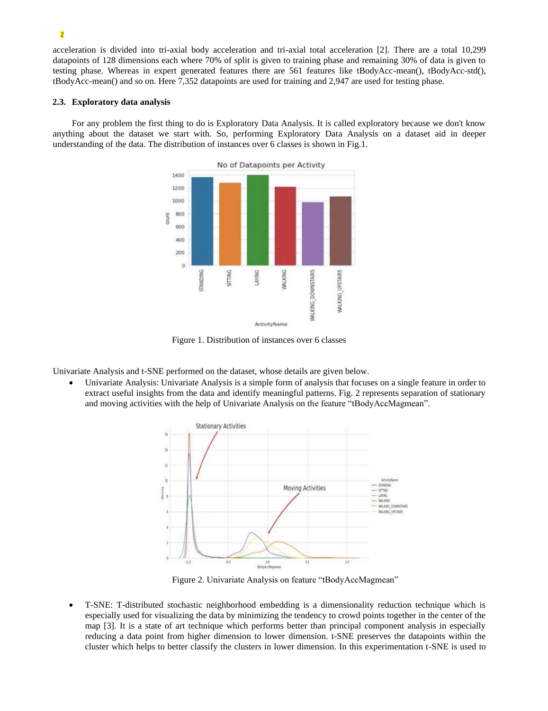acceleration is divided into tri-axial body acceleration and tri-axial total acceleration [2]. There are a total 10,299 datapoints of 128 dimensions each where 70% of split is given to training phase and remaining 30% of data is given to testing phase. Whereas in expert generated features there are 561 features like tBodyAcc-mean(), tBodyAcc-std(), tBodyAcc-mean() and so on. Here 7,352 datapoints are used for training and 2,947 are used for testing phase.

### **2.3. Exploratory data analysis**

For any problem the first thing to do is Exploratory Data Analysis. It is called exploratory because we don't know anything about the dataset we start with. So, performing Exploratory Data Analysis on a dataset aid in deeper understanding of the data. The distribution of instances over 6 classes is shown in Fig.1.



Figure 1. Distribution of instances over 6 classes

Univariate Analysis and t-SNE performed on the dataset, whose details are given below.

• Univariate Analysis: Univariate Analysis is a simple form of analysis that focuses on a single feature in order to extract useful insights from the data and identify meaningful patterns. Fig. 2 represents separation of stationary and moving activities with the help of Univariate Analysis on the feature "tBodyAccMagmean".



Figure 2. Univariate Analysis on feature "tBodyAccMagmean"

• T-SNE: T-distributed stochastic neighborhood embedding is a dimensionality reduction technique which is especially used for visualizing the data by minimizing the tendency to crowd points together in the center of the map [3]. It is a state of art technique which performs better than principal component analysis in especially reducing a data point from higher dimension to lower dimension. t-SNE preserves the datapoints within the cluster which helps to better classify the clusters in lower dimension. In this experimentation t-SNE is used to

## 2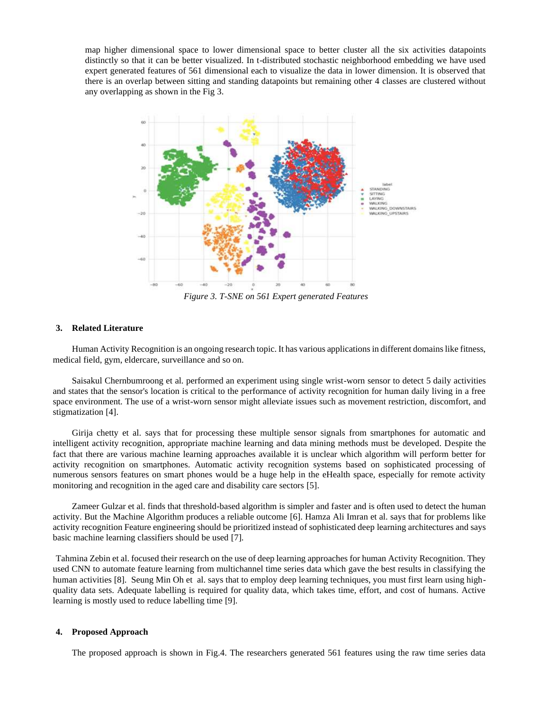map higher dimensional space to lower dimensional space to better cluster all the six activities datapoints distinctly so that it can be better visualized. In t-distributed stochastic neighborhood embedding we have used expert generated features of 561 dimensional each to visualize the data in lower dimension. It is observed that there is an overlap between sitting and standing datapoints but remaining other 4 classes are clustered without any overlapping as shown in the Fig 3.



*Figure 3. T-SNE on 561 Expert generated Features*

# **3. Related Literature**

Human Activity Recognition is an ongoing research topic. It has various applications in different domains like fitness, medical field, gym, eldercare, surveillance and so on.

Saisakul Chernbumroong et al. performed an experiment using single wrist-worn sensor to detect 5 daily activities and states that the sensor's location is critical to the performance of activity recognition for human daily living in a free space environment. The use of a wrist-worn sensor might alleviate issues such as movement restriction, discomfort, and stigmatization [4].

Girija chetty et al. says that for processing these multiple sensor signals from smartphones for automatic and intelligent activity recognition, appropriate machine learning and data mining methods must be developed. Despite the fact that there are various machine learning approaches available it is unclear which algorithm will perform better for activity recognition on smartphones. Automatic activity recognition systems based on sophisticated processing of numerous sensors features on smart phones would be a huge help in the eHealth space, especially for remote activity monitoring and recognition in the aged care and disability care sectors [5].

Zameer Gulzar et al. finds that threshold-based algorithm is simpler and faster and is often used to detect the human activity. But the Machine Algorithm produces a reliable outcome [6]. Hamza Ali Imran et al. says that for problems like activity recognition Feature engineering should be prioritized instead of sophisticated deep learning architectures and says basic machine learning classifiers should be used [7].

Tahmina Zebin et al. focused their research on the use of deep learning approaches for human Activity Recognition. They used CNN to automate feature learning from multichannel time series data which gave the best results in classifying the human activities [8]. Seung Min Oh et al. says that to employ deep learning techniques, you must first learn using highquality data sets. Adequate labelling is required for quality data, which takes time, effort, and cost of humans. Active learning is mostly used to reduce labelling time [9].

### **4. Proposed Approach**

The proposed approach is shown in Fig.4. The researchers generated 561 features using the raw time series data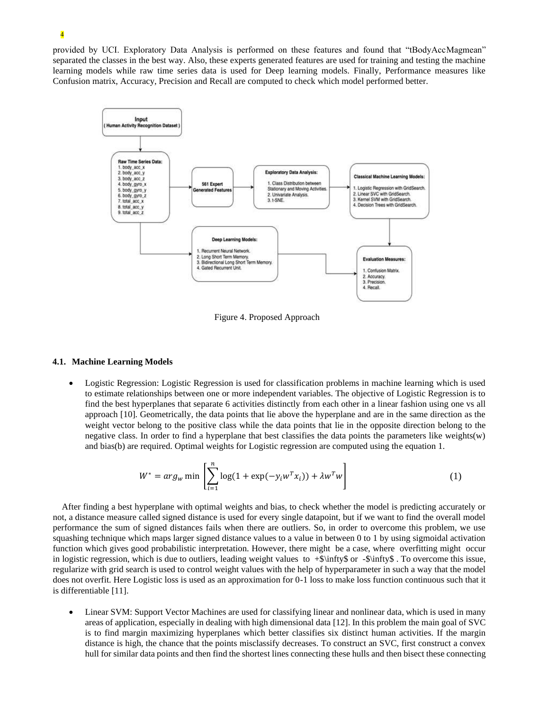provided by UCI. Exploratory Data Analysis is performed on these features and found that "tBodyAccMagmean" separated the classes in the best way. Also, these experts generated features are used for training and testing the machine learning models while raw time series data is used for Deep learning models. Finally, Performance measures like Confusion matrix, Accuracy, Precision and Recall are computed to check which model performed better.



Figure 4. Proposed Approach

### **4.1. Machine Learning Models**

• Logistic Regression: Logistic Regression is used for classification problems in machine learning which is used to estimate relationships between one or more independent variables. The objective of Logistic Regression is to find the best hyperplanes that separate 6 activities distinctly from each other in a linear fashion using one vs all approach [10]. Geometrically, the data points that lie above the hyperplane and are in the same direction as the weight vector belong to the positive class while the data points that lie in the opposite direction belong to the negative class. In order to find a hyperplane that best classifies the data points the parameters like weights(w) and bias(b) are required. Optimal weights for Logistic regression are computed using the equation 1.

$$
W^* = arg_w \min \left[ \sum_{i=1}^n \log(1 + \exp(-y_i w^T x_i)) + \lambda w^T w \right]
$$
 (1)

 After finding a best hyperplane with optimal weights and bias, to check whether the model is predicting accurately or not, a distance measure called signed distance is used for every single datapoint, but if we want to find the overall model performance the sum of signed distances fails when there are outliers. So, in order to overcome this problem, we use squashing technique which maps larger signed distance values to a value in between 0 to 1 by using sigmoidal activation function which gives good probabilistic interpretation. However, there might be a case, where overfitting might occur in logistic regression, which is due to outliers, leading weight values to  $+\$ infty\$ or  $-\$ infty\$. To overcome this issue, regularize with grid search is used to control weight values with the help of hyperparameter in such a way that the model does not overfit. Here Logistic loss is used as an approximation for 0-1 loss to make loss function continuous such that it is differentiable [11].

• Linear SVM: Support Vector Machines are used for classifying linear and nonlinear data, which is used in many areas of application, especially in dealing with high dimensional data [12]. In this problem the main goal of SVC is to find margin maximizing hyperplanes which better classifies six distinct human activities. If the margin distance is high, the chance that the points misclassify decreases. To construct an SVC, first construct a convex hull for similar data points and then find the shortest lines connecting these hulls and then bisect these connecting

# 4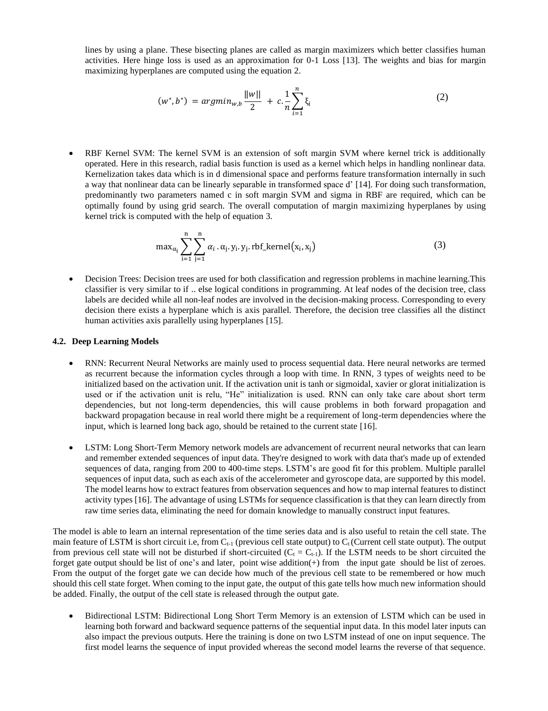lines by using a plane. These bisecting planes are called as margin maximizers which better classifies human activities. Here hinge loss is used as an approximation for 0-1 Loss [13]. The weights and bias for margin maximizing hyperplanes are computed using the equation 2.

$$
(w^*, b^*) = argmin_{w,b} \frac{||w||}{2} + c \cdot \frac{1}{n} \sum_{i=1}^n \xi_i
$$
 (2)

• RBF Kernel SVM: The kernel SVM is an extension of soft margin SVM where kernel trick is additionally operated. Here in this research, radial basis function is used as a kernel which helps in handling nonlinear data. Kernelization takes data which is in d dimensional space and performs feature transformation internally in such a way that nonlinear data can be linearly separable in transformed space d' [14]. For doing such transformation, predominantly two parameters named c in soft margin SVM and sigma in RBF are required, which can be optimally found by using grid search. The overall computation of margin maximizing hyperplanes by using kernel trick is computed with the help of equation 3.

$$
\max_{\alpha_i} \sum_{i=1}^n \sum_{j=1}^n \alpha_i \cdot \alpha_j \cdot y_i \cdot y_j \cdot \text{rbf\_kernel}(x_i, x_j) \tag{3}
$$

• Decision Trees: Decision trees are used for both classification and regression problems in machine learning. This classifier is very similar to if .. else logical conditions in programming. At leaf nodes of the decision tree, class labels are decided while all non-leaf nodes are involved in the decision-making process. Corresponding to every decision there exists a hyperplane which is axis parallel. Therefore, the decision tree classifies all the distinct human activities axis parallelly using hyperplanes [15].

### **4.2. Deep Learning Models**

- RNN: Recurrent Neural Networks are mainly used to process sequential data. Here neural networks are termed as recurrent because the information cycles through a loop with time. In RNN, 3 types of weights need to be initialized based on the activation unit. If the activation unit is tanh or sigmoidal, xavier or glorat initialization is used or if the activation unit is relu, "He" initialization is used. RNN can only take care about short term dependencies, but not long-term dependencies, this will cause problems in both forward propagation and backward propagation because in real world there might be a requirement of long-term dependencies where the input, which is learned long back ago, should be retained to the current state [16].
- LSTM: Long Short-Term Memory network models are advancement of recurrent neural networks that can learn and remember extended sequences of input data. They're designed to work with data that's made up of extended sequences of data, ranging from 200 to 400-time steps. LSTM's are good fit for this problem. Multiple parallel sequences of input data, such as each axis of the accelerometer and gyroscope data, are supported by this model. The model learns how to extract features from observation sequences and how to map internal features to distinct activity types [16]. The advantage of using LSTMs for sequence classification is that they can learn directly from raw time series data, eliminating the need for domain knowledge to manually construct input features.

The model is able to learn an internal representation of the time series data and is also useful to retain the cell state. The main feature of LSTM is short circuit i.e, from  $C_{t-1}$  (previous cell state output) to  $C_t$  (Current cell state output). The output from previous cell state will not be disturbed if short-circuited ( $C_t = C_{t-1}$ ). If the LSTM needs to be short circuited the forget gate output should be list of one's and later, point wise addition(+) from the input gate should be list of zeroes. From the output of the forget gate we can decide how much of the previous cell state to be remembered or how much should this cell state forget. When coming to the input gate, the output of this gate tells how much new information should be added. Finally, the output of the cell state is released through the output gate.

• Bidirectional LSTM: Bidirectional Long Short Term Memory is an extension of LSTM which can be used in learning both forward and backward sequence patterns of the sequential input data. In this model later inputs can also impact the previous outputs. Here the training is done on two LSTM instead of one on input sequence. The first model learns the sequence of input provided whereas the second model learns the reverse of that sequence.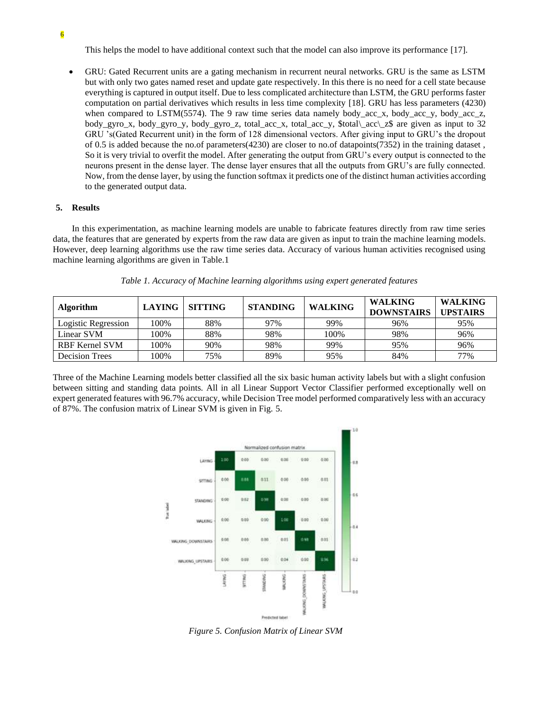6

This helps the model to have additional context such that the model can also improve its performance [17].

• GRU: Gated Recurrent units are a gating mechanism in recurrent neural networks. GRU is the same as LSTM but with only two gates named reset and update gate respectively. In this there is no need for a cell state because everything is captured in output itself. Due to less complicated architecture than LSTM, the GRU performs faster computation on partial derivatives which results in less time complexity [18]. GRU has less parameters (4230) when compared to LSTM(5574). The 9 raw time series data namely body acc x, body acc y, body acc z, body\_gyro\_x, body\_gyro\_y, body\_gyro\_z, total\_acc\_x, total\_acc\_y, \$total\\_acc\\_z\$ are given as input to 32 GRU 's(Gated Recurrent unit) in the form of 128 dimensional vectors. After giving input to GRU's the dropout of 0.5 is added because the no.of parameters(4230) are closer to no.of datapoints(7352) in the training dataset , So it is very trivial to overfit the model. After generating the output from GRU's every output is connected to the neurons present in the dense layer. The dense layer ensures that all the outputs from GRU's are fully connected. Now, from the dense layer, by using the function softmax it predicts one of the distinct human activities according to the generated output data.

## **5. Results**

In this experimentation, as machine learning models are unable to fabricate features directly from raw time series data, the features that are generated by experts from the raw data are given as input to train the machine learning models. However, deep learning algorithms use the raw time series data. Accuracy of various human activities recognised using machine learning algorithms are given in Table.1

| <b>Algorithm</b>      | <b>LAYING</b> | <b>SITTING</b> | <b>STANDING</b> | <b>WALKING</b> | <b>WALKING</b><br><b>DOWNSTAIRS</b> | WALKING<br><b>UPSTAIRS</b> |
|-----------------------|---------------|----------------|-----------------|----------------|-------------------------------------|----------------------------|
| Logistic Regression   | 100%          | 88%            | 97%             | 99%            | 96%                                 | 95%                        |
| Linear SVM            | 100%          | 88%            | 98%             | 100%           | 98%                                 | 96%                        |
| <b>RBF Kernel SVM</b> | 100%          | 90%            | 98%             | 99%            | 95%                                 | 96%                        |
| <b>Decision Trees</b> | 100%          | 75%            | 89%             | 95%            | 84%                                 | 77%                        |

*Table 1. Accuracy of Machine learning algorithms using expert generated features*

Three of the Machine Learning models better classified all the six basic human activity labels but with a slight confusion between sitting and standing data points. All in all Linear Support Vector Classifier performed exceptionally well on expert generated features with 96.7% accuracy, while Decision Tree model performed comparatively less with an accuracy of 87%. The confusion matrix of Linear SVM is given in Fig. 5.



*Figure 5. Confusion Matrix of Linear SVM*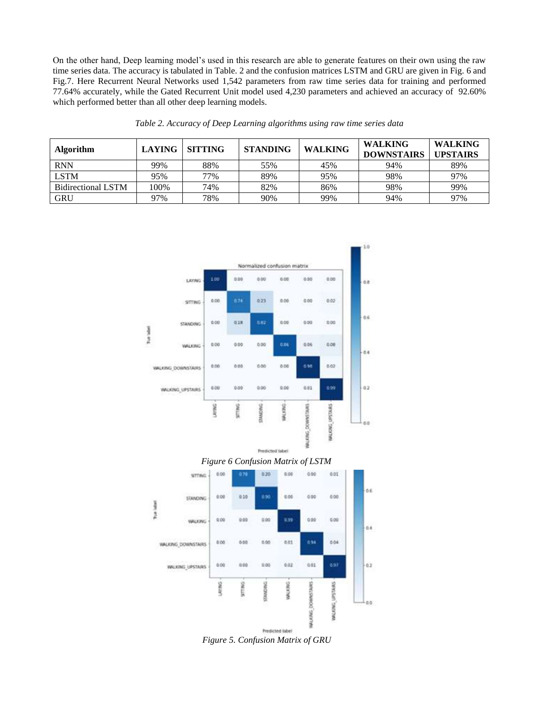On the other hand, Deep learning model's used in this research are able to generate features on their own using the raw time series data. The accuracy is tabulated in Table. 2 and the confusion matrices LSTM and GRU are given in Fig. 6 and Fig.7. Here Recurrent Neural Networks used 1,542 parameters from raw time series data for training and performed 77.64% accurately, while the Gated Recurrent Unit model used 4,230 parameters and achieved an accuracy of 92.60% which performed better than all other deep learning models.

| <b>Algorithm</b>   | <b>LAYING</b> | <b>SITTING</b> | <b>STANDING</b> | <b>WALKING</b> | <b>WALKING</b><br><b>DOWNSTAIRS</b> | <b>WALKING</b><br><b>UPSTAIRS</b> |
|--------------------|---------------|----------------|-----------------|----------------|-------------------------------------|-----------------------------------|
| <b>RNN</b>         | 99%           | 88%            | 55%             | 45%            | 94%                                 | 89%                               |
| <b>LSTM</b>        | 95%           | 77%            | 89%             | 95%            | 98%                                 | 97%                               |
| Bidirectional LSTM | 100%          | 74%            | 82%             | 86%            | 98%                                 | 99%                               |
| <b>GRU</b>         | 97%           | 78%            | 90%             | 99%            | 94%                                 | 97%                               |

*Table 2. Accuracy of Deep Learning algorithms using raw time series data*



*Figure 5. Confusion Matrix of GRU*